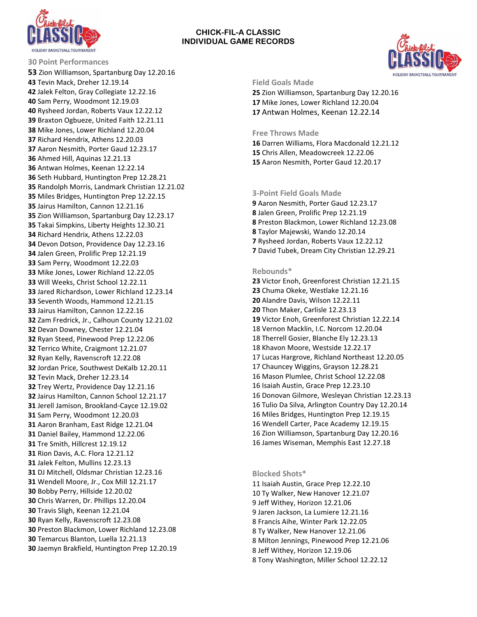

# **CHICK-FIL-A CLASSIC INDIVIDUAL GAME RECORDS**



**Field Goals Made**

 Zion Williamson, Spartanburg Day 12.20.16 Mike Jones, Lower Richland 12.20.04 Antwan Holmes, Keenan 12.22.14

**Free Throws Made** 

 Darren Williams, Flora Macdonald 12.21.12 Chris Allen, Meadowcreek 12.22.06 Aaron Nesmith, Porter Gaud 12.20.17

## **3-Point Field Goals Made**

 Aaron Nesmith, Porter Gaud 12.23.17 Jalen Green, Prolific Prep 12.21.19 Preston Blackmon, Lower Richland 12.23.08 Taylor Majewski, Wando 12.20.14 Rysheed Jordan, Roberts Vaux 12.22.12 David Tubek, Dream City Christian 12.29.21

## **Rebounds\***

 Victor Enoh, Greenforest Christian 12.21.15 Chuma Okeke, Westlake 12.21.16 Alandre Davis, Wilson 12.22.11 Thon Maker, Carlisle 12.23.13 Victor Enoh, Greenforest Christian 12.22.14 18 Vernon Macklin, I.C. Norcom 12.20.04 18 Therrell Gosier, Blanche Ely 12.23.13 18 Khavon Moore, Westside 12.22.17 17 Lucas Hargrove, Richland Northeast 12.20.05 17 Chauncey Wiggins, Grayson 12.28.21 16 Mason Plumlee, Christ School 12.22.08 16 Isaiah Austin, Grace Prep 12.23.10 16 Donovan Gilmore, Wesleyan Christian 12.23.13 16 Tulio Da Silva, Arlington Country Day 12.20.14 16 Miles Bridges, Huntington Prep 12.19.15 16 Wendell Carter, Pace Academy 12.19.15 16 Zion Williamson, Spartanburg Day 12.20.16 16 James Wiseman, Memphis East 12.27.18

#### **Blocked Shots\***

11 Isaiah Austin, Grace Prep 12.22.10 10 Ty Walker, New Hanover 12.21.07 9 Jeff Withey, Horizon 12.21.06 9 Jaren Jackson, La Lumiere 12.21.16 8 Francis Aihe, Winter Park 12.22.05 8 Ty Walker, New Hanover 12.21.06 8 Milton Jennings, Pinewood Prep 12.21.06 8 Jeff Withey, Horizon 12.19.06 8 Tony Washington, Miller School 12.22.12

**30 Point Performances**  Zion Williamson, Spartanburg Day 12.20.16 Tevin Mack, Dreher 12.19.14 Jalek Felton, Gray Collegiate 12.22.16 Sam Perry, Woodmont 12.19.03 Rysheed Jordan, Roberts Vaux 12.22.12 Braxton Ogbueze, United Faith 12.21.11 Mike Jones, Lower Richland 12.20.04 Richard Hendrix, Athens 12.20.03 Aaron Nesmith, Porter Gaud 12.23.17 Ahmed Hill, Aquinas 12.21.13 Antwan Holmes, Keenan 12.22.14 Seth Hubbard, Huntington Prep 12.28.21 Randolph Morris, Landmark Christian 12.21.02 Miles Bridges, Huntington Prep 12.22.15 Jairus Hamilton, Cannon 12.21.16 Zion Williamson, Spartanburg Day 12.23.17 Takai Simpkins, Liberty Heights 12.30.21 Richard Hendrix, Athens 12.22.03 Devon Dotson, Providence Day 12.23.16 Jalen Green, Prolific Prep 12.21.19 Sam Perry, Woodmont 12.22.03 Mike Jones, Lower Richland 12.22.05 Will Weeks, Christ School 12.22.11 Jared Richardson, Lower Richland 12.23.14 Seventh Woods, Hammond 12.21.15 Jairus Hamilton, Cannon 12.22.16 Zam Fredrick, Jr., Calhoun County 12.21.02 Devan Downey, Chester 12.21.04 Ryan Steed, Pinewood Prep 12.22.06 Terrico White, Craigmont 12.21.07 Ryan Kelly, Ravenscroft 12.22.08 Jordan Price, Southwest DeKalb 12.20.11 Tevin Mack, Dreher 12.23.14 Trey Wertz, Providence Day 12.21.16 Jairus Hamilton, Cannon School 12.21.17 Jerell Jamison, Brookland-Cayce 12.19.02 Sam Perry, Woodmont 12.20.03 Aaron Branham, East Ridge 12.21.04 Daniel Bailey, Hammond 12.22.06 Tre Smith, Hillcrest 12.19.12 Rion Davis, A.C. Flora 12.21.12 Jalek Felton, Mullins 12.23.13 DJ Mitchell, Oldsmar Christian 12.23.16 Wendell Moore, Jr., Cox Mill 12.21.17 Bobby Perry, Hillside 12.20.02 Chris Warren, Dr. Phillips 12.20.04 Travis Sligh, Keenan 12.21.04 Ryan Kelly, Ravenscroft 12.23.08 Preston Blackmon, Lower Richland 12.23.08 Temarcus Blanton, Luella 12.21.13 Jaemyn Brakfield, Huntington Prep 12.20.19